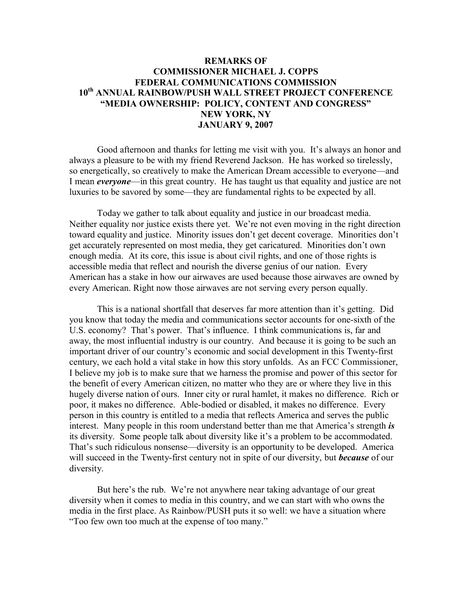## **REMARKS OF COMMISSIONER MICHAEL J. COPPS FEDERAL COMMUNICATIONS COMMISSION 10th ANNUAL RAINBOW/PUSH WALL STREET PROJECT CONFERENCE "MEDIA OWNERSHIP: POLICY, CONTENT AND CONGRESS" NEW YORK, NY JANUARY 9, 2007**

Good afternoon and thanks for letting me visit with you. It's always an honor and always a pleasure to be with my friend Reverend Jackson. He has worked so tirelessly, so energetically, so creatively to make the American Dream accessible to everyone—and I mean *everyone*—in this great country. He has taught us that equality and justice are not luxuries to be savored by some—they are fundamental rights to be expected by all.

Today we gather to talk about equality and justice in our broadcast media. Neither equality nor justice exists there yet. We're not even moving in the right direction toward equality and justice. Minority issues don't get decent coverage. Minorities don't get accurately represented on most media, they get caricatured. Minorities don't own enough media. At its core, this issue is about civil rights, and one of those rights is accessible media that reflect and nourish the diverse genius of our nation. Every American has a stake in how our airwaves are used because those airwaves are owned by every American. Right now those airwaves are not serving every person equally.

This is a national shortfall that deserves far more attention than it's getting. Did you know that today the media and communications sector accounts for one-sixth of the U.S. economy? That's power. That's influence. I think communications is, far and away, the most influential industry is our country. And because it is going to be such an important driver of our country's economic and social development in this Twenty-first century, we each hold a vital stake in how this story unfolds. As an FCC Commissioner, I believe my job is to make sure that we harness the promise and power of this sector for the benefit of every American citizen, no matter who they are or where they live in this hugely diverse nation of ours. Inner city or rural hamlet, it makes no difference. Rich or poor, it makes no difference. Able-bodied or disabled, it makes no difference. Every person in this country is entitled to a media that reflects America and serves the public interest. Many people in this room understand better than me that America's strength *is* its diversity. Some people talk about diversity like it's a problem to be accommodated. That's such ridiculous nonsense—diversity is an opportunity to be developed. America will succeed in the Twenty-first century not in spite of our diversity, but *because* of our diversity.

But here's the rub. We're not anywhere near taking advantage of our great diversity when it comes to media in this country, and we can start with who owns the media in the first place. As Rainbow/PUSH puts it so well: we have a situation where "Too few own too much at the expense of too many."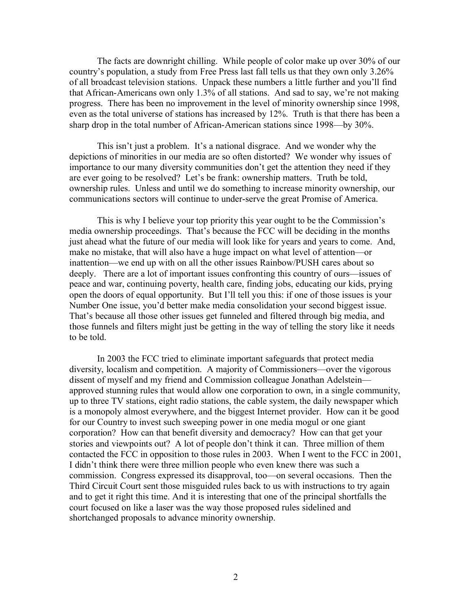The facts are downright chilling. While people of color make up over 30% of our country's population, a study from Free Press last fall tells us that they own only 3.26% of all broadcast television stations. Unpack these numbers a little further and you'll find that African-Americans own only 1.3% of all stations. And sad to say, we're not making progress. There has been no improvement in the level of minority ownership since 1998, even as the total universe of stations has increased by 12%. Truth is that there has been a sharp drop in the total number of African-American stations since 1998—by 30%.

This isn't just a problem. It's a national disgrace. And we wonder why the depictions of minorities in our media are so often distorted? We wonder why issues of importance to our many diversity communities don't get the attention they need if they are ever going to be resolved? Let's be frank: ownership matters. Truth be told, ownership rules. Unless and until we do something to increase minority ownership, our communications sectors will continue to under-serve the great Promise of America.

This is why I believe your top priority this year ought to be the Commission's media ownership proceedings. That's because the FCC will be deciding in the months just ahead what the future of our media will look like for years and years to come. And, make no mistake, that will also have a huge impact on what level of attention—or inattention—we end up with on all the other issues Rainbow/PUSH cares about so deeply. There are a lot of important issues confronting this country of ours—issues of peace and war, continuing poverty, health care, finding jobs, educating our kids, prying open the doors of equal opportunity. But I'll tell you this: if one of those issues is your Number One issue, you'd better make media consolidation your second biggest issue. That's because all those other issues get funneled and filtered through big media, and those funnels and filters might just be getting in the way of telling the story like it needs to be told.

In 2003 the FCC tried to eliminate important safeguards that protect media diversity, localism and competition. A majority of Commissioners—over the vigorous dissent of myself and my friend and Commission colleague Jonathan Adelstein approved stunning rules that would allow one corporation to own, in a single community, up to three TV stations, eight radio stations, the cable system, the daily newspaper which is a monopoly almost everywhere, and the biggest Internet provider. How can it be good for our Country to invest such sweeping power in one media mogul or one giant corporation? How can that benefit diversity and democracy? How can that get your stories and viewpoints out? A lot of people don't think it can. Three million of them contacted the FCC in opposition to those rules in 2003. When I went to the FCC in 2001, I didn't think there were three million people who even knew there was such a commission. Congress expressed its disapproval, too—on several occasions. Then the Third Circuit Court sent those misguided rules back to us with instructions to try again and to get it right this time. And it is interesting that one of the principal shortfalls the court focused on like a laser was the way those proposed rules sidelined and shortchanged proposals to advance minority ownership.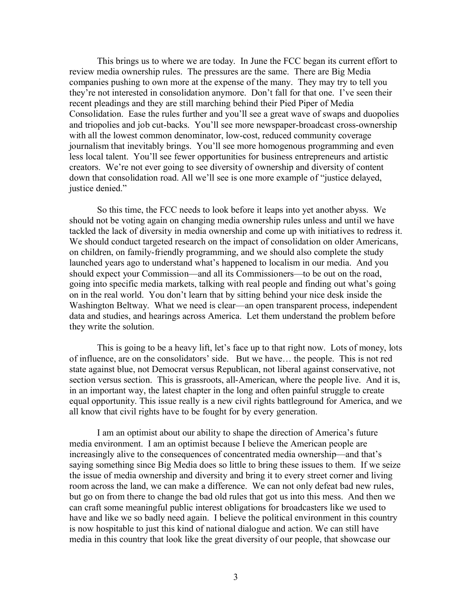This brings us to where we are today. In June the FCC began its current effort to review media ownership rules. The pressures are the same. There are Big Media companies pushing to own more at the expense of the many. They may try to tell you they're not interested in consolidation anymore. Don't fall for that one. I've seen their recent pleadings and they are still marching behind their Pied Piper of Media Consolidation. Ease the rules further and you'll see a great wave of swaps and duopolies and triopolies and job cut-backs. You'll see more newspaper-broadcast cross-ownership with all the lowest common denominator, low-cost, reduced community coverage journalism that inevitably brings. You'll see more homogenous programming and even less local talent. You'll see fewer opportunities for business entrepreneurs and artistic creators. We're not ever going to see diversity of ownership and diversity of content down that consolidation road. All we'll see is one more example of "justice delayed, justice denied."

So this time, the FCC needs to look before it leaps into yet another abyss. We should not be voting again on changing media ownership rules unless and until we have tackled the lack of diversity in media ownership and come up with initiatives to redress it. We should conduct targeted research on the impact of consolidation on older Americans, on children, on family-friendly programming, and we should also complete the study launched years ago to understand what's happened to localism in our media. And you should expect your Commission—and all its Commissioners—to be out on the road, going into specific media markets, talking with real people and finding out what's going on in the real world. You don't learn that by sitting behind your nice desk inside the Washington Beltway. What we need is clear—an open transparent process, independent data and studies, and hearings across America. Let them understand the problem before they write the solution.

This is going to be a heavy lift, let's face up to that right now. Lots of money, lots of influence, are on the consolidators' side. But we have… the people. This is not red state against blue, not Democrat versus Republican, not liberal against conservative, not section versus section. This is grassroots, all-American, where the people live. And it is, in an important way, the latest chapter in the long and often painful struggle to create equal opportunity. This issue really is a new civil rights battleground for America, and we all know that civil rights have to be fought for by every generation.

I am an optimist about our ability to shape the direction of America's future media environment. I am an optimist because I believe the American people are increasingly alive to the consequences of concentrated media ownership—and that's saying something since Big Media does so little to bring these issues to them. If we seize the issue of media ownership and diversity and bring it to every street corner and living room across the land, we can make a difference. We can not only defeat bad new rules, but go on from there to change the bad old rules that got us into this mess. And then we can craft some meaningful public interest obligations for broadcasters like we used to have and like we so badly need again. I believe the political environment in this country is now hospitable to just this kind of national dialogue and action. We can still have media in this country that look like the great diversity of our people, that showcase our